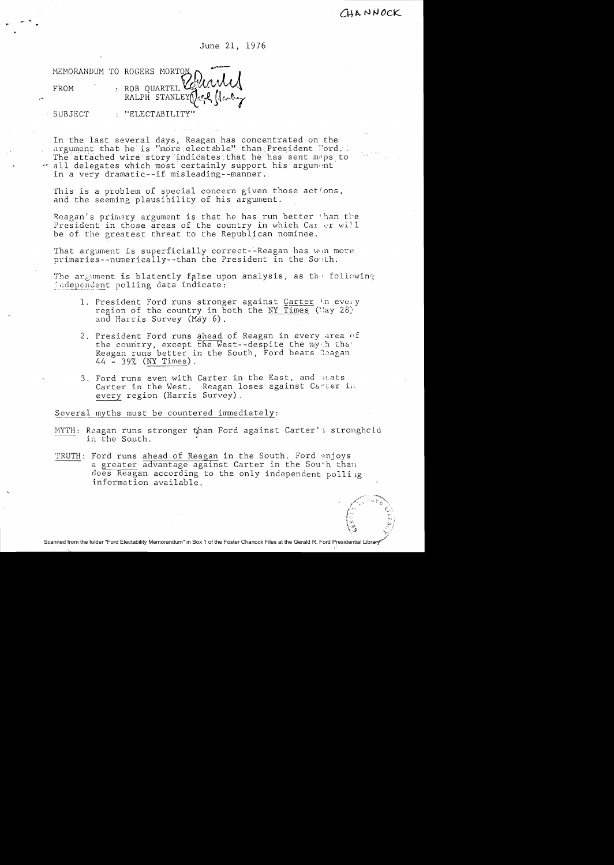CUANNOCK

June 21, 1976

MEMORANDUM TO ROGERS MORTON : ROB OUARTEL FROM RALPH STANLEY SUBJECT : "ELECTABILITY

In the last several days, Reagan has concentrated on the argument that helis "more electable" than President Tord. The attached wire story indicates that he has sent maps to . all delegates which most certainly support his argument in a very dramatic--if misleading--manner.

This is a problem of special concern given those actions, and the seeming plausibility of his argument.

Reagan's primary argument is that he has run better than the President in those areas of the country in which Car er will be of the greatest threat to the Republican nominee.

That argument is superficially correct--Reagan has win more primaries--numerically--than the President in the South.

The argument is blatently false upon analysis, as the following independent polling data indicate:

- 1. President Ford runs stronger against Carter in every region of the country in both the NY Times (May 28) and Harris Survey (Máy 6).
- 2. President Ford runs ahead of Reagan in every area of the country, except the West--despite the mych that Reagan runs better in the South, Ford beats Reagan  $44 - 39%$  (NY Times).
- 3. Ford runs even with Carter in the East, and beats Carter in the West. Reagan loses against Carter in every region (Harris Survey).

Several myths must be countered immediately:

- MYTH: Reagan runs stronger than Ford against Carter's stronghold in the South.
- TRUTH: Ford runs ahead of Reagan in the South. Ford enjoys a greater advantage against Carter in the South than does Reagan according to the only independent polling information available.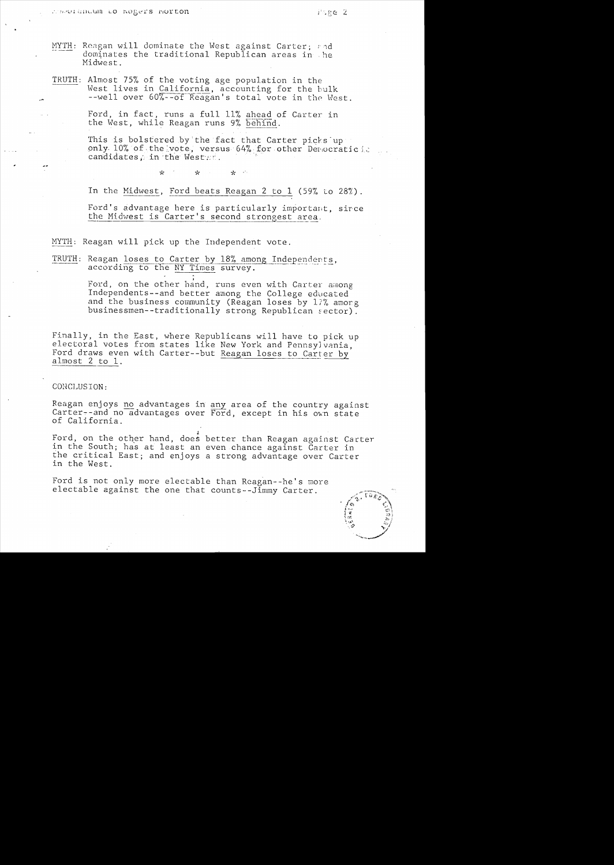- MYTH: Reagan will dominate the West against Carter: and dominates the traditional Republican areas in he Midwest.
- TRUTH: Almost 75% of the voting age population in the West lives in California, accounting for the bulk --well over 60%--of Reagan's total vote in the West.

Ford, in fact, runs a full 11% ahead of Carter in the West, while Reagan runs 9% behind.

This is bolstered by the fact that Carter picks up<br>only 10% of the vote, versus 64% for other Democratic candidates, in the West ...

> $\mathbf{x}^{\prime}$ میہ مير

In the Midwest, Ford beats Reagan 2 to 1 (59% to 28%).

Ford's advantage here is particularly important, since the Midwest is Carter's second strongest area.

MYTH: Reagan will pick up the Independent vote.

TRUTH: Reagan loses to Carter by 18% among Independents, according to the NY Times survey.

> Ford, on the other hand, runs even with Carter among Independents--and better among the College educated and the business community (Reagan loses by 17% amorg businessmen--traditionally strong Republican sector).

Finally, in the East, where Republicans will have to pick up electoral votes from states like New York and Pennsylvania, Ford draws even with Carter--but Reagan loses to Carter by almost 2 to 1.

## CONCLUSION:

Reagan enjoys no advantages in any area of the country against Carter--and no advantages over Ford, except in his own state of California.

Ford, on the other hand, does better than Reagan against Carter in the South; has at least an even chance against Carter in the critical East; and enjoys a strong advantage over Carter in the West.

Ford is not only more electable than Reagan--he's more electable against the one that counts--Jimmy Carter.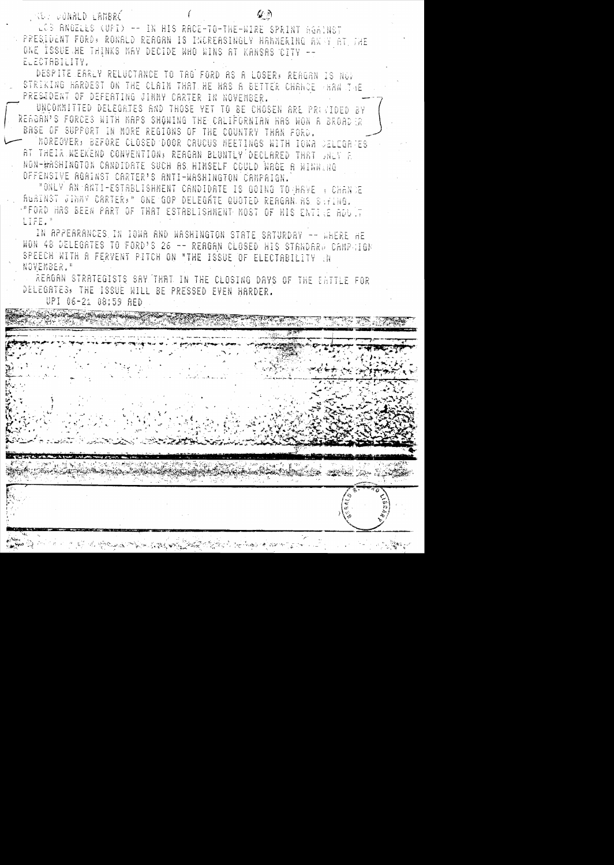**ANDER DONALD L'AMBRÉ** 

LCB ANGELES (UPI) -- IN HIS RACE-TO-THE-WIRE SPRINT ROAINST PRESIDENT FORD: RONALD REAGAN IS INCREASINGLY HAMNERING AWAY AT THE ONE ISSUE HE THINKS MAY DECIDE WHO WINS AT KANSAS CITY --ELECTABILITY.

 $\omega$ 

DESPITE EARLY RELUCTANCE TO TAG FORD AS A LOSER, REAGAN IS NOT STRIKING HARDEST ON THE CLAIM THAT HE HAS A BETTER CHANCE HAN THE PRESIDENT OF DEFERTING JINNY CARTER IN NOVEMBER.

UNCOMMITTED DELEGRTES AND THOSE YET TO BE CHOSEN ARE PRIVIDED BY RERGRA'S FORCES WITH MAPS SHOWING THE CALIFORNIAN HAS WON A BROAD R BASE OF SUPPORT IN MORE REGIONS OF THE COUNTRY THAN FORD. MOREOVER, BEFORE CLOSED DOOR CRUCUS MEETINGS WITH IOWA CELEGARES AT THEIR WEEKEND CONVENTION, REAGAN BLUNTLY DECLARED THAT JNLY E NON-WASHINGTON CANDIDATE SUCH AS HIMSELF COULD WAGE A WINNING OFFENSIVE RGAINST CARTER'S ANTI-WASHINGTON CAMPAIGN.

"ONLY AN ANTI-ESTABLISHMENT CANDIDATE IS GOING TO HAVE A CHANCE RURINST JINNY CRRTER, NONE GOP DELEGRIE QUOTED REAGRN AS SAFING. "FORD HAS BEEN PART OF THAT ESTABLISHMENT MOST OF HIS ENTILE ADULT LIFE."

IN APPEARANCES, IN IOWA AND WASHINGTON STATE SATURDAY -- WHERE HE WON 48 DELEGRTES TO FORD'S 26 -- REAGAN CLOSED HIS STRNDARD CAMPGIGN SPEECH WITH A FERVENT PITCH ON "THE ISSUE OF ELECTABILITY (N NOVEMBER."

REAGAN STRATEGISTS SAY THAT IN THE CLOSING DAYS OF THE EATTLE FOR DELEGRIES, THE ISSUE WILL BE PRESSED EVEN HARDER.

UPI 06-21 08:59 AED

**THE THE STATION OF LOW LIKE WA**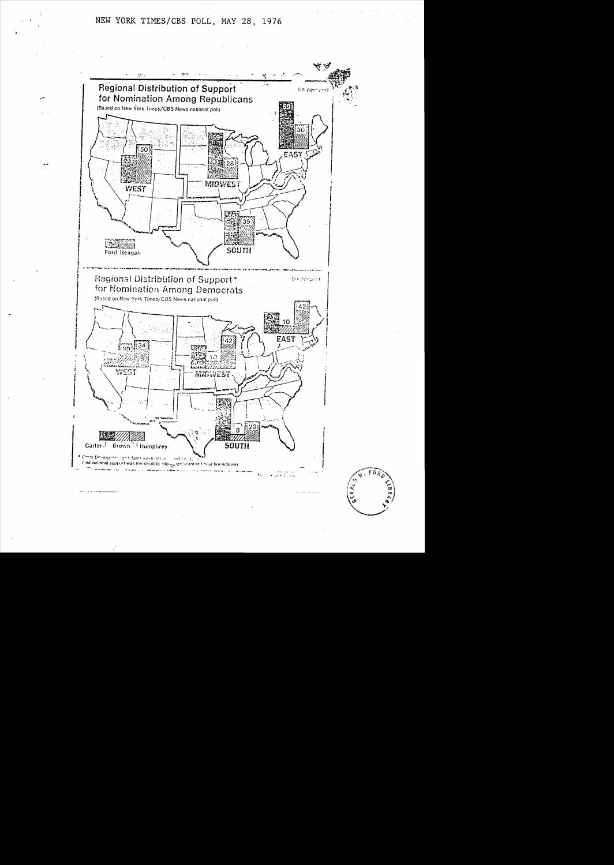

به چه<br>په